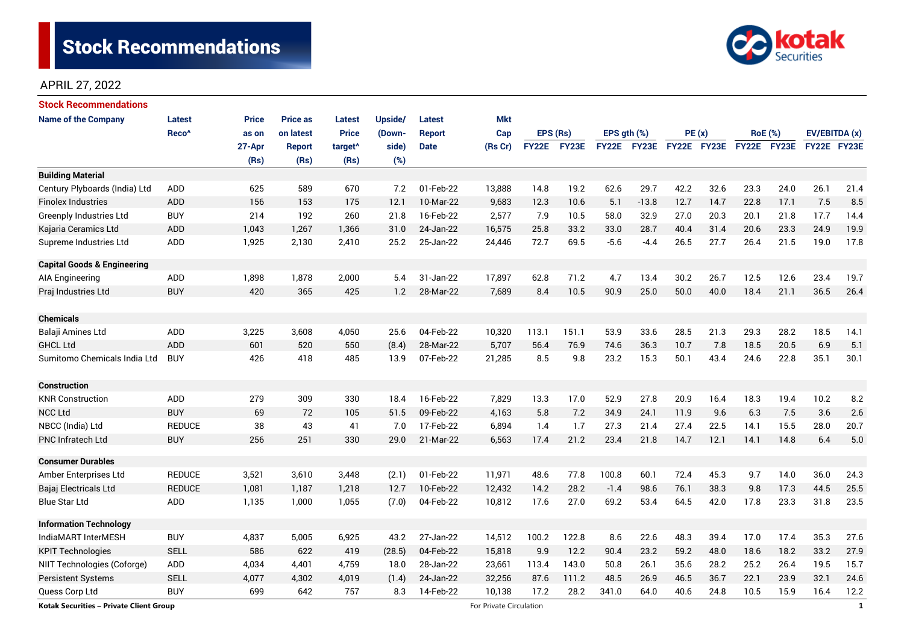

# APRIL 27, 2022

| <b>Stock Recommendations</b>            |                   |              |                 |                     |         |               |                         |          |             |                  |         |             |      |                |      |               |              |
|-----------------------------------------|-------------------|--------------|-----------------|---------------------|---------|---------------|-------------------------|----------|-------------|------------------|---------|-------------|------|----------------|------|---------------|--------------|
| <b>Name of the Company</b>              | Latest            | <b>Price</b> | <b>Price as</b> | <b>Latest</b>       | Upside/ | <b>Latest</b> | <b>Mkt</b>              |          |             |                  |         |             |      |                |      |               |              |
|                                         | Reco <sup>^</sup> | as on        | on latest       | <b>Price</b>        | (Down-  | <b>Report</b> | Cap                     | EPS (Rs) |             | EPS $gth$ $(\%)$ |         | PE(x)       |      | <b>RoE</b> (%) |      | EV/EBITDA (x) |              |
|                                         |                   | 27-Apr       | <b>Report</b>   | target <sup>^</sup> | side)   | <b>Date</b>   | (Rs Cr)                 |          | FY22E FY23E | <b>FY22E</b>     | FY23E   | FY22E FY23E |      | FY22E FY23E    |      | FY22E FY23E   |              |
|                                         |                   | (Rs)         | (Rs)            | (Rs)                | (%)     |               |                         |          |             |                  |         |             |      |                |      |               |              |
| <b>Building Material</b>                |                   |              |                 |                     |         |               |                         |          |             |                  |         |             |      |                |      |               |              |
| Century Plyboards (India) Ltd           | ADD               | 625          | 589             | 670                 | 7.2     | 01-Feb-22     | 13,888                  | 14.8     | 19.2        | 62.6             | 29.7    | 42.2        | 32.6 | 23.3           | 24.0 | 26.1          | 21.4         |
| <b>Finolex Industries</b>               | <b>ADD</b>        | 156          | 153             | 175                 | 12.1    | 10-Mar-22     | 9,683                   | 12.3     | 10.6        | 5.1              | $-13.8$ | 12.7        | 14.7 | 22.8           | 17.1 | 7.5           | 8.5          |
| <b>Greenply Industries Ltd</b>          | <b>BUY</b>        | 214          | 192             | 260                 | 21.8    | 16-Feb-22     | 2,577                   | 7.9      | 10.5        | 58.0             | 32.9    | 27.0        | 20.3 | 20.1           | 21.8 | 17.7          | 14.4         |
| Kajaria Ceramics Ltd                    | ADD               | 1,043        | 1,267           | 1,366               | 31.0    | 24-Jan-22     | 16,575                  | 25.8     | 33.2        | 33.0             | 28.7    | 40.4        | 31.4 | 20.6           | 23.3 | 24.9          | 19.9         |
| Supreme Industries Ltd                  | ADD               | 1,925        | 2,130           | 2,410               | 25.2    | 25-Jan-22     | 24,446                  | 72.7     | 69.5        | $-5.6$           | $-4.4$  | 26.5        | 27.7 | 26.4           | 21.5 | 19.0          | 17.8         |
| <b>Capital Goods &amp; Engineering</b>  |                   |              |                 |                     |         |               |                         |          |             |                  |         |             |      |                |      |               |              |
| AIA Engineering                         | ADD               | 1,898        | 1,878           | 2,000               | 5.4     | 31-Jan-22     | 17,897                  | 62.8     | 71.2        | 4.7              | 13.4    | 30.2        | 26.7 | 12.5           | 12.6 | 23.4          | 19.7         |
| Praj Industries Ltd                     | <b>BUY</b>        | 420          | 365             | 425                 | 1.2     | 28-Mar-22     | 7,689                   | 8.4      | 10.5        | 90.9             | 25.0    | 50.0        | 40.0 | 18.4           | 21.1 | 36.5          | 26.4         |
| <b>Chemicals</b>                        |                   |              |                 |                     |         |               |                         |          |             |                  |         |             |      |                |      |               |              |
| Balaji Amines Ltd                       | ADD               | 3,225        | 3,608           | 4,050               | 25.6    | 04-Feb-22     | 10,320                  | 113.1    | 151.1       | 53.9             | 33.6    | 28.5        | 21.3 | 29.3           | 28.2 | 18.5          | 14.1         |
| <b>GHCL Ltd</b>                         | <b>ADD</b>        | 601          | 520             | 550                 | (8.4)   | 28-Mar-22     | 5,707                   | 56.4     | 76.9        | 74.6             | 36.3    | 10.7        | 7.8  | 18.5           | 20.5 | 6.9           | 5.1          |
| Sumitomo Chemicals India Ltd            | <b>BUY</b>        | 426          | 418             | 485                 | 13.9    | 07-Feb-22     | 21,285                  | 8.5      | 9.8         | 23.2             | 15.3    | 50.1        | 43.4 | 24.6           | 22.8 | 35.1          | 30.1         |
| <b>Construction</b>                     |                   |              |                 |                     |         |               |                         |          |             |                  |         |             |      |                |      |               |              |
| <b>KNR Construction</b>                 | ADD               | 279          | 309             | 330                 | 18.4    | 16-Feb-22     | 7,829                   | 13.3     | 17.0        | 52.9             | 27.8    | 20.9        | 16.4 | 18.3           | 19.4 | 10.2          | 8.2          |
| <b>NCC Ltd</b>                          | <b>BUY</b>        | 69           | 72              | 105                 | 51.5    | 09-Feb-22     | 4,163                   | 5.8      | 7.2         | 34.9             | 24.1    | 11.9        | 9.6  | 6.3            | 7.5  | 3.6           | 2.6          |
| NBCC (India) Ltd                        | <b>REDUCE</b>     | 38           | 43              | 41                  | 7.0     | 17-Feb-22     | 6,894                   | 1.4      | 1.7         | 27.3             | 21.4    | 27.4        | 22.5 | 14.1           | 15.5 | 28.0          | 20.7         |
| <b>PNC Infratech Ltd</b>                | <b>BUY</b>        | 256          | 251             | 330                 | 29.0    | 21-Mar-22     | 6,563                   | 17.4     | 21.2        | 23.4             | 21.8    | 14.7        | 12.1 | 14.1           | 14.8 | 6.4           | 5.0          |
| <b>Consumer Durables</b>                |                   |              |                 |                     |         |               |                         |          |             |                  |         |             |      |                |      |               |              |
| Amber Enterprises Ltd                   | <b>REDUCE</b>     | 3,521        | 3,610           | 3,448               | (2.1)   | 01-Feb-22     | 11,971                  | 48.6     | 77.8        | 100.8            | 60.1    | 72.4        | 45.3 | 9.7            | 14.0 | 36.0          | 24.3         |
| Bajaj Electricals Ltd                   | <b>REDUCE</b>     | 1,081        | 1,187           | 1,218               | 12.7    | 10-Feb-22     | 12,432                  | 14.2     | 28.2        | $-1.4$           | 98.6    | 76.1        | 38.3 | 9.8            | 17.3 | 44.5          | 25.5         |
| <b>Blue Star Ltd</b>                    | <b>ADD</b>        | 1,135        | 1,000           | 1,055               | (7.0)   | 04-Feb-22     | 10,812                  | 17.6     | 27.0        | 69.2             | 53.4    | 64.5        | 42.0 | 17.8           | 23.3 | 31.8          | 23.5         |
| <b>Information Technology</b>           |                   |              |                 |                     |         |               |                         |          |             |                  |         |             |      |                |      |               |              |
| IndiaMART InterMESH                     | <b>BUY</b>        | 4,837        | 5,005           | 6,925               | 43.2    | 27-Jan-22     | 14,512                  | 100.2    | 122.8       | 8.6              | 22.6    | 48.3        | 39.4 | 17.0           | 17.4 | 35.3          | 27.6         |
| <b>KPIT Technologies</b>                | <b>SELL</b>       | 586          | 622             | 419                 | (28.5)  | 04-Feb-22     | 15,818                  | 9.9      | 12.2        | 90.4             | 23.2    | 59.2        | 48.0 | 18.6           | 18.2 | 33.2          | 27.9         |
| NIIT Technologies (Coforge)             | ADD               | 4,034        | 4,401           | 4,759               | 18.0    | 28-Jan-22     | 23,661                  | 113.4    | 143.0       | 50.8             | 26.1    | 35.6        | 28.2 | 25.2           | 26.4 | 19.5          | 15.7         |
| <b>Persistent Systems</b>               | <b>SELL</b>       | 4,077        | 4,302           | 4,019               | (1.4)   | 24-Jan-22     | 32,256                  | 87.6     | 111.2       | 48.5             | 26.9    | 46.5        | 36.7 | 22.1           | 23.9 | 32.1          | 24.6         |
| Quess Corp Ltd                          | <b>BUY</b>        | 699          | 642             | 757                 | 8.3     | 14-Feb-22     | 10,138                  | 17.2     | 28.2        | 341.0            | 64.0    | 40.6        | 24.8 | 10.5           | 15.9 | 16.4          | 12.2         |
| Kotak Securities - Private Client Group |                   |              |                 |                     |         |               | For Private Circulation |          |             |                  |         |             |      |                |      |               | $\mathbf{1}$ |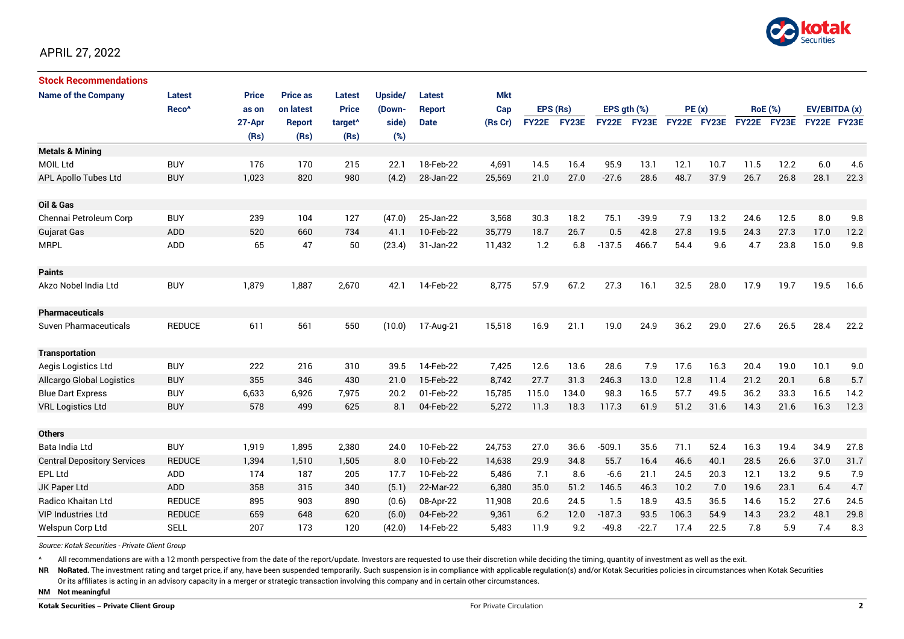

| <b>Stock Recommendations</b>       |                   |              |                 |                     |         |             |            |              |       |              |              |             |      |                |      |               |      |
|------------------------------------|-------------------|--------------|-----------------|---------------------|---------|-------------|------------|--------------|-------|--------------|--------------|-------------|------|----------------|------|---------------|------|
| <b>Name of the Company</b>         | Latest            | <b>Price</b> | <b>Price as</b> | <b>Latest</b>       | Upside/ | Latest      | <b>Mkt</b> |              |       |              |              |             |      |                |      |               |      |
|                                    | Reco <sup>^</sup> | as on        | on latest       | <b>Price</b>        | (Down-  | Report      | Cap        | EPS (Rs)     |       | EPS ath (%)  |              | PE(x)       |      | <b>RoE</b> (%) |      | EV/EBITDA (x) |      |
|                                    |                   | 27-Apr       | <b>Report</b>   | target <sup>^</sup> | side)   | <b>Date</b> | (Rs Cr)    | <b>FY22E</b> | FY23E | <b>FY22E</b> | <b>FY23E</b> | FY22E FY23E |      | FY22E FY23E    |      | FY22E FY23E   |      |
|                                    |                   | (Rs)         | (Rs)            | (Rs)                | (%)     |             |            |              |       |              |              |             |      |                |      |               |      |
| <b>Metals &amp; Mining</b>         |                   |              |                 |                     |         |             |            |              |       |              |              |             |      |                |      |               |      |
| <b>MOIL Ltd</b>                    | <b>BUY</b>        | 176          | 170             | 215                 | 22.1    | 18-Feb-22   | 4,691      | 14.5         | 16.4  | 95.9         | 13.1         | 12.1        | 10.7 | 11.5           | 12.2 | 6.0           | 4.6  |
| APL Apollo Tubes Ltd               | <b>BUY</b>        | 1,023        | 820             | 980                 | (4.2)   | 28-Jan-22   | 25,569     | 21.0         | 27.0  | $-27.6$      | 28.6         | 48.7        | 37.9 | 26.7           | 26.8 | 28.1          | 22.3 |
| Oil & Gas                          |                   |              |                 |                     |         |             |            |              |       |              |              |             |      |                |      |               |      |
| Chennai Petroleum Corp             | <b>BUY</b>        | 239          | 104             | 127                 | (47.0)  | 25-Jan-22   | 3,568      | 30.3         | 18.2  | 75.1         | $-39.9$      | 7.9         | 13.2 | 24.6           | 12.5 | 8.0           | 9.8  |
| Gujarat Gas                        | ADD               | 520          | 660             | 734                 | 41.1    | 10-Feb-22   | 35,779     | 18.7         | 26.7  | 0.5          | 42.8         | 27.8        | 19.5 | 24.3           | 27.3 | 17.0          | 12.2 |
| <b>MRPL</b>                        | ADD               | 65           | 47              | 50                  | (23.4)  | 31-Jan-22   | 11,432     | 1.2          | 6.8   | $-137.5$     | 466.7        | 54.4        | 9.6  | 4.7            | 23.8 | 15.0          | 9.8  |
| <b>Paints</b>                      |                   |              |                 |                     |         |             |            |              |       |              |              |             |      |                |      |               |      |
| Akzo Nobel India Ltd               | <b>BUY</b>        | 1,879        | 1,887           | 2,670               | 42.1    | 14-Feb-22   | 8,775      | 57.9         | 67.2  | 27.3         | 16.1         | 32.5        | 28.0 | 17.9           | 19.7 | 19.5          | 16.6 |
| <b>Pharmaceuticals</b>             |                   |              |                 |                     |         |             |            |              |       |              |              |             |      |                |      |               |      |
| Suven Pharmaceuticals              | <b>REDUCE</b>     | 611          | 561             | 550                 | (10.0)  | 17-Aug-21   | 15,518     | 16.9         | 21.1  | 19.0         | 24.9         | 36.2        | 29.0 | 27.6           | 26.5 | 28.4          | 22.2 |
| <b>Transportation</b>              |                   |              |                 |                     |         |             |            |              |       |              |              |             |      |                |      |               |      |
| Aegis Logistics Ltd                | <b>BUY</b>        | 222          | 216             | 310                 | 39.5    | 14-Feb-22   | 7,425      | 12.6         | 13.6  | 28.6         | 7.9          | 17.6        | 16.3 | 20.4           | 19.0 | 10.1          | 9.0  |
| Allcargo Global Logistics          | <b>BUY</b>        | 355          | 346             | 430                 | 21.0    | 15-Feb-22   | 8,742      | 27.7         | 31.3  | 246.3        | 13.0         | 12.8        | 11.4 | 21.2           | 20.1 | 6.8           | 5.7  |
| <b>Blue Dart Express</b>           | <b>BUY</b>        | 6,633        | 6,926           | 7,975               | 20.2    | 01-Feb-22   | 15,785     | 115.0        | 134.0 | 98.3         | 16.5         | 57.7        | 49.5 | 36.2           | 33.3 | 16.5          | 14.2 |
| <b>VRL Logistics Ltd</b>           | <b>BUY</b>        | 578          | 499             | 625                 | 8.1     | 04-Feb-22   | 5,272      | 11.3         | 18.3  | 117.3        | 61.9         | 51.2        | 31.6 | 14.3           | 21.6 | 16.3          | 12.3 |
| <b>Others</b>                      |                   |              |                 |                     |         |             |            |              |       |              |              |             |      |                |      |               |      |
| Bata India Ltd                     | <b>BUY</b>        | 1,919        | 1,895           | 2,380               | 24.0    | 10-Feb-22   | 24,753     | 27.0         | 36.6  | $-509.1$     | 35.6         | 71.1        | 52.4 | 16.3           | 19.4 | 34.9          | 27.8 |
| <b>Central Depository Services</b> | <b>REDUCE</b>     | 1,394        | 1,510           | 1,505               | 8.0     | 10-Feb-22   | 14,638     | 29.9         | 34.8  | 55.7         | 16.4         | 46.6        | 40.1 | 28.5           | 26.6 | 37.0          | 31.7 |
| EPL Ltd                            | ADD               | 174          | 187             | 205                 | 17.7    | 10-Feb-22   | 5,486      | 7.1          | 8.6   | $-6.6$       | 21.1         | 24.5        | 20.3 | 12.1           | 13.2 | 9.5           | 7.9  |
| JK Paper Ltd                       | ADD               | 358          | 315             | 340                 | (5.1)   | 22-Mar-22   | 6,380      | 35.0         | 51.2  | 146.5        | 46.3         | 10.2        | 7.0  | 19.6           | 23.1 | 6.4           | 4.7  |
| Radico Khaitan Ltd                 | <b>REDUCE</b>     | 895          | 903             | 890                 | (0.6)   | 08-Apr-22   | 11,908     | 20.6         | 24.5  | 1.5          | 18.9         | 43.5        | 36.5 | 14.6           | 15.2 | 27.6          | 24.5 |
| <b>VIP Industries Ltd</b>          | <b>REDUCE</b>     | 659          | 648             | 620                 | (6.0)   | 04-Feb-22   | 9,361      | 6.2          | 12.0  | $-187.3$     | 93.5         | 106.3       | 54.9 | 14.3           | 23.2 | 48.1          | 29.8 |
| Welspun Corp Ltd                   | <b>SELL</b>       | 207          | 173             | 120                 | (42.0)  | 14-Feb-22   | 5.483      | 11.9         | 9.2   | $-49.8$      | $-22.7$      | 17.4        | 22.5 | 7.8            | 5.9  | 7.4           | 8.3  |

*Source: Kotak Securities - Private Client Group*

All recommendations are with a 12 month perspective from the date of the report/update. Investors are requested to use their discretion while deciding the timing, quantity of investment as well as the exit.

NR NoRated. The investment rating and target price, if any, have been suspended temporarily. Such suspension is in compliance with applicable regulation(s) and/or Kotak Securities policies in circumstances when Kotak Secur

Or its affiliates is acting in an advisory capacity in a merger or strategic transaction involving this company and in certain other circumstances.

**NM Not meaningful**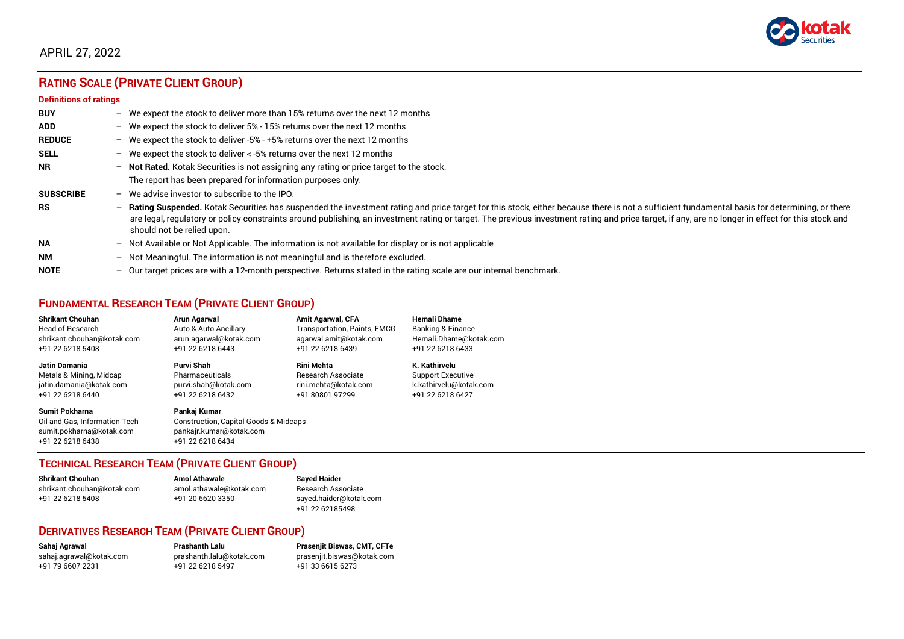

# APRIL 27, 2022

# **RATING SCALE (PRIVATE CLIENT GROUP)**

#### **Definitions of ratings**

| <b>BUY</b>       | $\overline{\phantom{0}}$ | We expect the stock to deliver more than 15% returns over the next 12 months                                                                                                                                                                                                                                                                                                                                                     |
|------------------|--------------------------|----------------------------------------------------------------------------------------------------------------------------------------------------------------------------------------------------------------------------------------------------------------------------------------------------------------------------------------------------------------------------------------------------------------------------------|
| <b>ADD</b>       |                          | - We expect the stock to deliver $5\%$ - 15% returns over the next 12 months                                                                                                                                                                                                                                                                                                                                                     |
| <b>REDUCE</b>    | $-$                      | We expect the stock to deliver -5% - +5% returns over the next 12 months                                                                                                                                                                                                                                                                                                                                                         |
| <b>SELL</b>      | $-$                      | We expect the stock to deliver < -5% returns over the next 12 months                                                                                                                                                                                                                                                                                                                                                             |
| <b>NR</b>        | $-$                      | Not Rated. Kotak Securities is not assigning any rating or price target to the stock.                                                                                                                                                                                                                                                                                                                                            |
|                  |                          | The report has been prepared for information purposes only.                                                                                                                                                                                                                                                                                                                                                                      |
| <b>SUBSCRIBE</b> | $\overline{\phantom{0}}$ | We advise investor to subscribe to the IPO.                                                                                                                                                                                                                                                                                                                                                                                      |
| <b>RS</b>        | $\overline{\phantom{0}}$ | Rating Suspended. Kotak Securities has suspended the investment rating and price target for this stock, either because there is not a sufficient fundamental basis for determining, or there<br>are legal, regulatory or policy constraints around publishing, an investment rating or target. The previous investment rating and price target, if any, are no longer in effect for this stock and<br>should not be relied upon. |
| <b>NA</b>        |                          | $-$ Not Available or Not Applicable. The information is not available for display or is not applicable                                                                                                                                                                                                                                                                                                                           |
| <b>NM</b>        | $\overline{\phantom{0}}$ | Not Meaningful. The information is not meaningful and is therefore excluded.                                                                                                                                                                                                                                                                                                                                                     |
| <b>NOTE</b>      | $\overline{\phantom{0}}$ | Our target prices are with a 12-month perspective. Returns stated in the rating scale are our internal benchmark.                                                                                                                                                                                                                                                                                                                |

# **FUNDAMENTAL RESEARCH TEAM (PRIVATE CLIENT GROUP)**

| <b>Shrikant Chouhan</b>                                                                                | <b>Arun Agarwal</b>                                                                                             | <b>Amit Agarwal, CFA</b>            | <b>Hemali Dhame</b>      |
|--------------------------------------------------------------------------------------------------------|-----------------------------------------------------------------------------------------------------------------|-------------------------------------|--------------------------|
| <b>Head of Research</b>                                                                                | Auto & Auto Ancillary                                                                                           | <b>Transportation, Paints, FMCG</b> | Banking & Finance        |
| shrikant.chouhan@kotak.com                                                                             | arun.agarwal@kotak.com                                                                                          | agarwal.amit@kotak.com              | Hemali.Dhame@kotak.com   |
| +91 22 6218 5408                                                                                       | +91 22 6218 6443                                                                                                | +91 22 6218 6439                    | +91 22 6218 6433         |
| <b>Jatin Damania</b>                                                                                   | Purvi Shah                                                                                                      | <b>Rini Mehta</b>                   | K. Kathirvelu            |
| Metals & Mining, Midcap                                                                                | Pharmaceuticals                                                                                                 | <b>Research Associate</b>           | <b>Support Executive</b> |
| jatin.damania@kotak.com                                                                                | purvi.shah@kotak.com                                                                                            | rini.mehta@kotak.com                | k.kathirvelu@kotak.com   |
| +91 22 6218 6440                                                                                       | +91 22 6218 6432                                                                                                | +91 80801 97299                     | +91 22 6218 6427         |
| <b>Sumit Pokharna</b><br>Oil and Gas. Information Tech<br>sumit.pokharna@kotak.com<br>+91 22 6218 6438 | Pankaj Kumar<br><b>Construction, Capital Goods &amp; Midcaps</b><br>pankajr.kumar@kotak.com<br>+91 22 6218 6434 |                                     |                          |

### **TECHNICAL RESEARCH TEAM (PRIVATE CLIENT GROUP)**

| <b>Shrikant Chouhan</b>    | <b>Amol Athawale</b>    |   |
|----------------------------|-------------------------|---|
| shrikant.chouhan@kotak.com | amol.athawale@kotak.com | F |
| +91 22 6218 5408           | +91 20 6620 3350        | s |
|                            |                         |   |

**Shrikant Chouhan Amol Athawale Sayed Haider** Research Associate [sayed.haider@kotak.com](mailto:sayed.haider@kotak.com) +91 22 62185498

### **DERIVATIVES RESEARCH TEAM (PRIVATE CLIENT GROUP)**

+91 22 6218 5497 +91 33 6615 6273

**Sahaj Agrawal Prashanth Lalu Prasenjit Biswas, CMT, CFTe** [sahaj.agrawal@kotak.com](mailto:sahaj.agrawal@kotak.com) [prashanth.lalu@kotak.com](mailto:prashanth.lalu@kotak.com) [prasenjit.biswas@kotak.com](mailto:prasenjit.biswas@kotak.com)